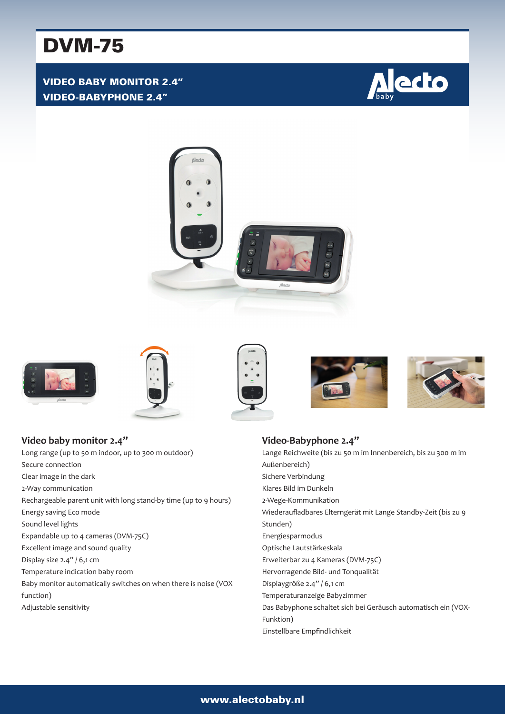# DVM-75

VIDEO BABY MONITOR 2.4" VIDEO-BABYPHONE 2.4"















**Video baby monitor 2.4"** Long range (up to 50 m indoor, up to 300 m outdoor) Secure connection Clear image in the dark 2-Way communication Rechargeable parent unit with long stand-by time (up to 9 hours) Energy saving Eco mode Sound level lights Expandable up to 4 cameras (DVM-75C) Excellent image and sound quality Display size 2.4" / 6,1 cm Temperature indication baby room Baby monitor automatically switches on when there is noise (VOX function) Adjustable sensitivity

**Video-Babyphone 2.4"** Lange Reichweite (bis zu 50 m im Innenbereich, bis zu 300 m im Außenbereich) Sichere Verbindung Klares Bild im Dunkeln 2-Wege-Kommunikation Wiederaufladbares Elterngerät mit Lange Standby-Zeit (bis zu 9 Stunden) Energiesparmodus Optische Lautstärkeskala Erweiterbar zu 4 Kameras (DVM-75C) Hervorragende Bild- und Tonqualität Displaygröße 2.4" / 6,1 cm Temperaturanzeige Babyzimmer Das Babyphone schaltet sich bei Geräusch automatisch ein (VOX-Funktion) Einstellbare Empfindlichkeit

#### www.alectobaby.nl